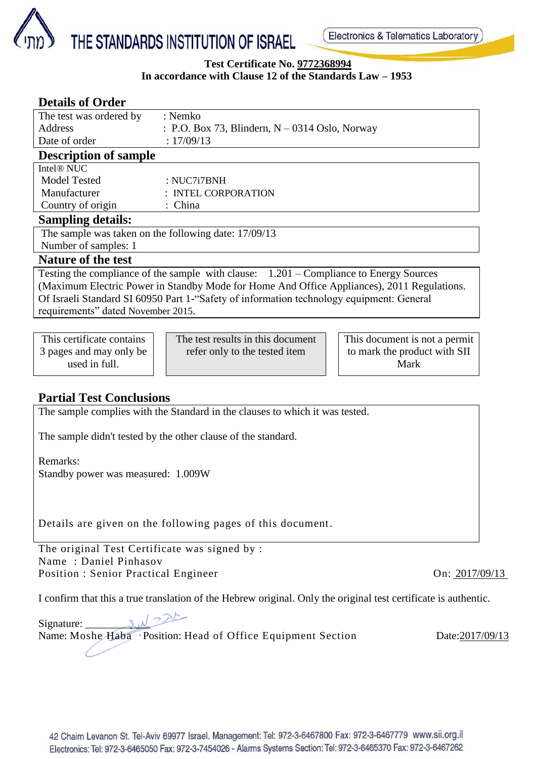

### **Test Certificate No. 9772368994 In accordance with Clause 12 of the Standards Law – 1953**

| <b>Details of Order</b>                                                                    |         |                                                  |  |                               |  |  |  |
|--------------------------------------------------------------------------------------------|---------|--------------------------------------------------|--|-------------------------------|--|--|--|
| The test was ordered by                                                                    |         | : Nemko                                          |  |                               |  |  |  |
| <b>Address</b>                                                                             |         | : P.O. Box 73, Blindern, $N - 0314$ Oslo, Norway |  |                               |  |  |  |
| Date of order                                                                              |         | : 17/09/13                                       |  |                               |  |  |  |
| <b>Description of sample</b>                                                               |         |                                                  |  |                               |  |  |  |
| Intel <sup>®</sup> NUC                                                                     |         |                                                  |  |                               |  |  |  |
| <b>Model Tested</b>                                                                        |         | : NUC7i7BNH                                      |  |                               |  |  |  |
| Manufacturer                                                                               |         | : INTEL CORPORATION                              |  |                               |  |  |  |
| Country of origin                                                                          | : China |                                                  |  |                               |  |  |  |
| <b>Sampling details:</b>                                                                   |         |                                                  |  |                               |  |  |  |
| The sample was taken on the following date: 17/09/13                                       |         |                                                  |  |                               |  |  |  |
| Number of samples: 1                                                                       |         |                                                  |  |                               |  |  |  |
| <b>Nature of the test</b>                                                                  |         |                                                  |  |                               |  |  |  |
| Testing the compliance of the sample with clause: $1.201 -$ Compliance to Energy Sources   |         |                                                  |  |                               |  |  |  |
| (Maximum Electric Power in Standby Mode for Home And Office Appliances), 2011 Regulations. |         |                                                  |  |                               |  |  |  |
| Of Israeli Standard SI 60950 Part 1- "Safety of information technology equipment: General  |         |                                                  |  |                               |  |  |  |
| requirements" dated November 2015.                                                         |         |                                                  |  |                               |  |  |  |
|                                                                                            |         |                                                  |  |                               |  |  |  |
| This certificate contains                                                                  |         | The test results in this document                |  | This document is not a permit |  |  |  |
| 3 pages and may only be                                                                    |         | refer only to the tested item                    |  | to mark the product with SII  |  |  |  |
| used in full.                                                                              |         |                                                  |  | Mark                          |  |  |  |

# **Partial Test Conclusions**

The sample complies with the Standard in the clauses to which it was tested.

The sample didn't tested by the other clause of the standard.

Remarks:

Standby power was measured: 1.009W

Details are given on the following pages of this document.

The original Test Certificate was signed by : Name : Daniel Pinhasov Position : Senior Practical Engineer On: 2017/09/13

I confirm that this a true translation of the Hebrew original. Only the original test certificate is authentic.

Signature:  $\frac{1}{2}$ Name: Moshe Haba Position: Head of Office Equipment Section Date:2017/09/13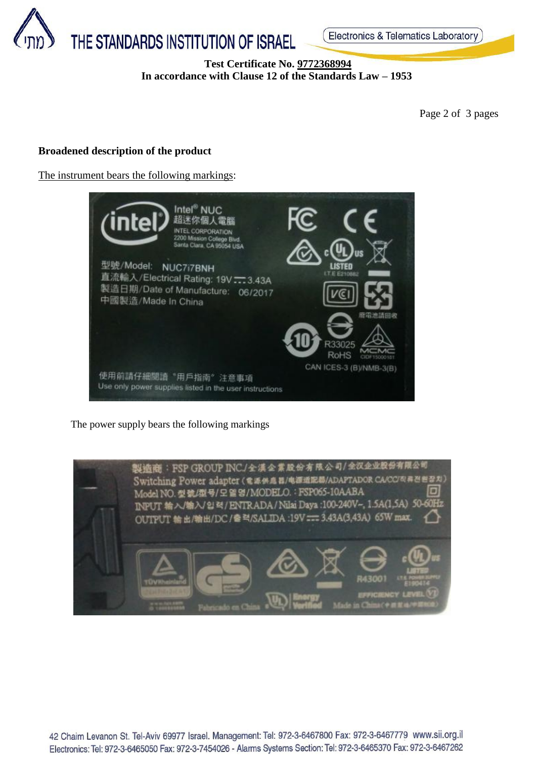

## **Test Certificate No. 9772368994 In accordance with Clause 12 of the Standards Law – 1953**

Page 2 of 3 pages

### **Broadened description of the product**

The instrument bears the following markings:



The power supply bears the following markings